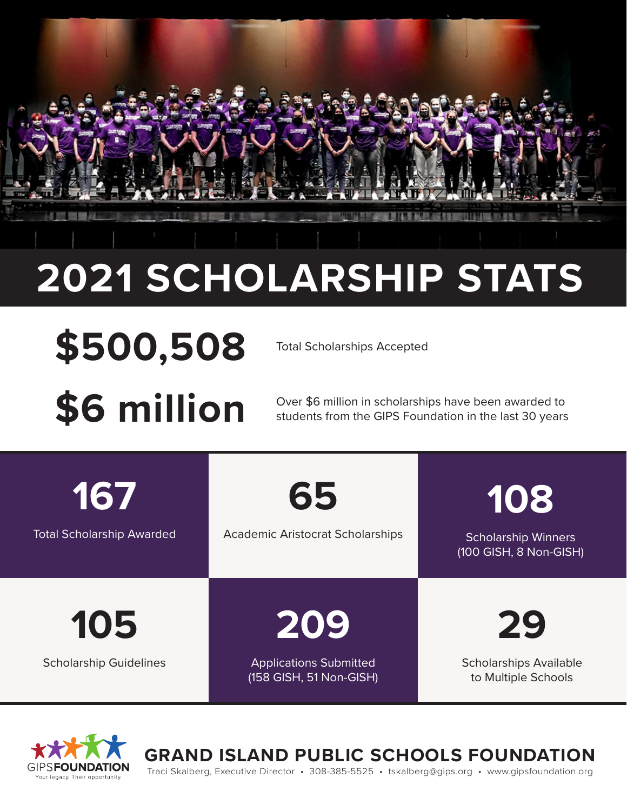## **2021 SCHOLARSHIP STATS**

# \$500,508 Total Scholarships Accepted

**\$6 million** Over \$6 million in scholarships have been awarded to students from the GIPS Foundation in the last 30 years students from the GIPS Foundation in the last 30 years

**167** Total Scholarship Awarded

**65**

#### Academic Aristocrat Scholarships

Scholarship Winners (100 GISH, 8 Non-GISH)

**108**

**105**

Scholarship Guidelines

**209**

Applications Submitted (158 GISH, 51 Non-GISH) **29**

Scholarships Available to Multiple Schools



**GRAND ISLAND PUBLIC SCHOOLS FOUNDATION**

Traci Skalberg, Executive Director • 308-385-5525 • tskalberg@gips.org • www.gipsfoundation.org